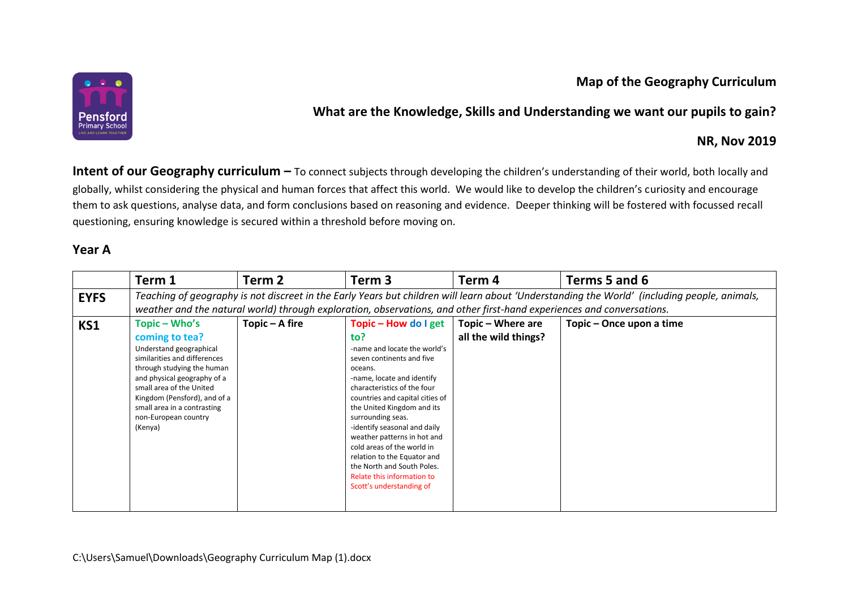## **Map of the Geography Curriculum**



## **What are the Knowledge, Skills and Understanding we want our pupils to gain?**

#### **NR, Nov 2019**

**Intent of our Geography curriculum –** To connect subjects through developing the children's understanding of their world, both locally and globally, whilst considering the physical and human forces that affect this world. We would like to develop the children's curiosity and encourage them to ask questions, analyse data, and form conclusions based on reasoning and evidence. Deeper thinking will be fostered with focussed recall questioning, ensuring knowledge is secured within a threshold before moving on.

### **Year A**

|             | Term 1                                                                                                                                                                                                                                                                | Term <sub>2</sub> | Term <sub>3</sub>            | Term 4               | Terms 5 and 6            |  |  |  |  |
|-------------|-----------------------------------------------------------------------------------------------------------------------------------------------------------------------------------------------------------------------------------------------------------------------|-------------------|------------------------------|----------------------|--------------------------|--|--|--|--|
| <b>EYFS</b> | Teaching of geography is not discreet in the Early Years but children will learn about 'Understanding the World' (including people, animals,<br>weather and the natural world) through exploration, observations, and other first-hand experiences and conversations. |                   |                              |                      |                          |  |  |  |  |
|             |                                                                                                                                                                                                                                                                       |                   |                              |                      |                          |  |  |  |  |
| KS1         | Topic – Who's                                                                                                                                                                                                                                                         | Topic - A fire    | Topic - How do I get         | Topic – Where are    | Topic - Once upon a time |  |  |  |  |
|             | coming to tea?                                                                                                                                                                                                                                                        |                   | to?                          | all the wild things? |                          |  |  |  |  |
|             | Understand geographical                                                                                                                                                                                                                                               |                   | -name and locate the world's |                      |                          |  |  |  |  |
|             | similarities and differences                                                                                                                                                                                                                                          |                   | seven continents and five    |                      |                          |  |  |  |  |
|             | through studying the human                                                                                                                                                                                                                                            |                   | oceans.                      |                      |                          |  |  |  |  |
|             | and physical geography of a                                                                                                                                                                                                                                           |                   | -name, locate and identify   |                      |                          |  |  |  |  |
|             | small area of the United                                                                                                                                                                                                                                              |                   | characteristics of the four  |                      |                          |  |  |  |  |
|             | Kingdom (Pensford), and of a<br>countries and capital cities of<br>small area in a contrasting<br>the United Kingdom and its                                                                                                                                          |                   |                              |                      |                          |  |  |  |  |
|             |                                                                                                                                                                                                                                                                       |                   |                              |                      |                          |  |  |  |  |
|             | non-European country<br>surrounding seas.                                                                                                                                                                                                                             |                   |                              |                      |                          |  |  |  |  |
|             | -identify seasonal and daily<br>(Kenya)                                                                                                                                                                                                                               |                   |                              |                      |                          |  |  |  |  |
|             |                                                                                                                                                                                                                                                                       |                   | weather patterns in hot and  |                      |                          |  |  |  |  |
|             | cold areas of the world in                                                                                                                                                                                                                                            |                   |                              |                      |                          |  |  |  |  |
|             | relation to the Equator and                                                                                                                                                                                                                                           |                   |                              |                      |                          |  |  |  |  |
|             | the North and South Poles.<br>Relate this information to                                                                                                                                                                                                              |                   |                              |                      |                          |  |  |  |  |
|             |                                                                                                                                                                                                                                                                       |                   | Scott's understanding of     |                      |                          |  |  |  |  |
|             |                                                                                                                                                                                                                                                                       |                   |                              |                      |                          |  |  |  |  |
|             |                                                                                                                                                                                                                                                                       |                   |                              |                      |                          |  |  |  |  |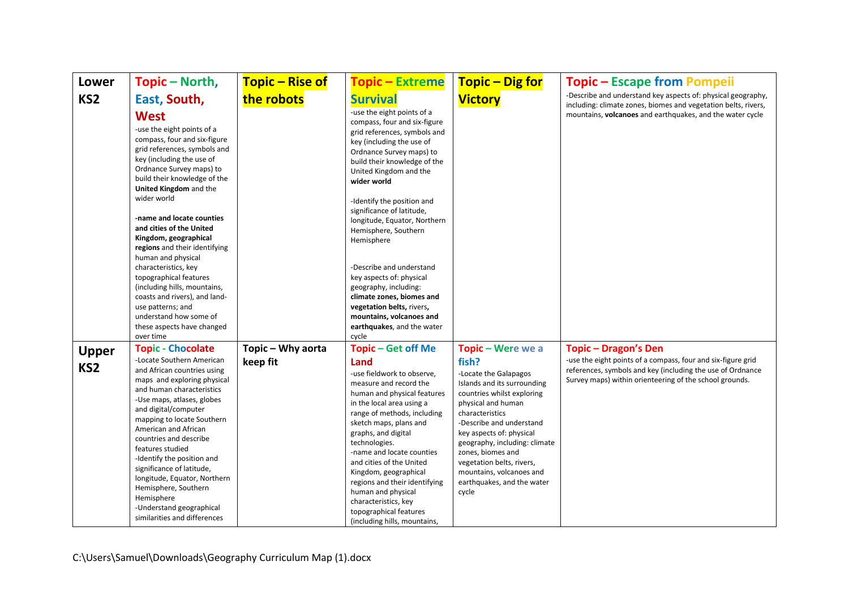| <b>Lower</b>                    | Topic – North,                                                                                                                                                                                                                                                                                                                                                                                                                                                              | <b>Topic – Rise of</b> | <b>Topic - Extreme</b>                                                                                                                                                                                                                                                                                                                                                                                                                               | <b>Topic – Dig for</b>                                                                                                                                                                                                                                                                                                                             | <b>Topic – Escape from Pompeii</b>                                                                                                                                                    |
|---------------------------------|-----------------------------------------------------------------------------------------------------------------------------------------------------------------------------------------------------------------------------------------------------------------------------------------------------------------------------------------------------------------------------------------------------------------------------------------------------------------------------|------------------------|------------------------------------------------------------------------------------------------------------------------------------------------------------------------------------------------------------------------------------------------------------------------------------------------------------------------------------------------------------------------------------------------------------------------------------------------------|----------------------------------------------------------------------------------------------------------------------------------------------------------------------------------------------------------------------------------------------------------------------------------------------------------------------------------------------------|---------------------------------------------------------------------------------------------------------------------------------------------------------------------------------------|
| KS <sub>2</sub>                 | East, South,                                                                                                                                                                                                                                                                                                                                                                                                                                                                | the robots             | <b>Survival</b>                                                                                                                                                                                                                                                                                                                                                                                                                                      | <b>Victory</b>                                                                                                                                                                                                                                                                                                                                     | -Describe and understand key aspects of: physical geography,<br>including: climate zones, biomes and vegetation belts, rivers,                                                        |
|                                 | <b>West</b><br>-use the eight points of a<br>compass, four and six-figure<br>grid references, symbols and<br>key (including the use of<br>Ordnance Survey maps) to<br>build their knowledge of the<br>United Kingdom and the<br>wider world<br>-name and locate counties<br>and cities of the United<br>Kingdom, geographical<br>regions and their identifying<br>human and physical                                                                                        |                        | -use the eight points of a<br>compass, four and six-figure<br>grid references, symbols and<br>key (including the use of<br>Ordnance Survey maps) to<br>build their knowledge of the<br>United Kingdom and the<br>wider world<br>-Identify the position and<br>significance of latitude,<br>longitude, Equator, Northern<br>Hemisphere, Southern<br>Hemisphere                                                                                        |                                                                                                                                                                                                                                                                                                                                                    | mountains, volcanoes and earthquakes, and the water cycle                                                                                                                             |
|                                 | characteristics, key<br>topographical features                                                                                                                                                                                                                                                                                                                                                                                                                              |                        | -Describe and understand<br>key aspects of: physical                                                                                                                                                                                                                                                                                                                                                                                                 |                                                                                                                                                                                                                                                                                                                                                    |                                                                                                                                                                                       |
|                                 | (including hills, mountains,<br>coasts and rivers), and land-<br>use patterns; and<br>understand how some of<br>these aspects have changed                                                                                                                                                                                                                                                                                                                                  |                        | geography, including:<br>climate zones, biomes and<br>vegetation belts, rivers,<br>mountains, volcanoes and<br>earthquakes, and the water                                                                                                                                                                                                                                                                                                            |                                                                                                                                                                                                                                                                                                                                                    |                                                                                                                                                                                       |
|                                 | over time<br><b>Topic - Chocolate</b>                                                                                                                                                                                                                                                                                                                                                                                                                                       | Topic - Why aorta      | cycle<br><b>Topic</b> – Get off Me                                                                                                                                                                                                                                                                                                                                                                                                                   | Topic - Were we a                                                                                                                                                                                                                                                                                                                                  | <b>Topic - Dragon's Den</b>                                                                                                                                                           |
| <b>Upper</b><br>KS <sub>2</sub> | -Locate Southern American<br>and African countries using<br>maps and exploring physical<br>and human characteristics<br>-Use maps, atlases, globes<br>and digital/computer<br>mapping to locate Southern<br>American and African<br>countries and describe<br>features studied<br>-Identify the position and<br>significance of latitude,<br>longitude, Equator, Northern<br>Hemisphere, Southern<br>Hemisphere<br>-Understand geographical<br>similarities and differences | keep fit               | Land<br>-use fieldwork to observe,<br>measure and record the<br>human and physical features<br>in the local area using a<br>range of methods, including<br>sketch maps, plans and<br>graphs, and digital<br>technologies.<br>-name and locate counties<br>and cities of the United<br>Kingdom, geographical<br>regions and their identifying<br>human and physical<br>characteristics, key<br>topographical features<br>(including hills, mountains, | fish?<br>-Locate the Galapagos<br>Islands and its surrounding<br>countries whilst exploring<br>physical and human<br>characteristics<br>-Describe and understand<br>key aspects of: physical<br>geography, including: climate<br>zones, biomes and<br>vegetation belts, rivers,<br>mountains, volcanoes and<br>earthquakes, and the water<br>cycle | -use the eight points of a compass, four and six-figure grid<br>references, symbols and key (including the use of Ordnance<br>Survey maps) within orienteering of the school grounds. |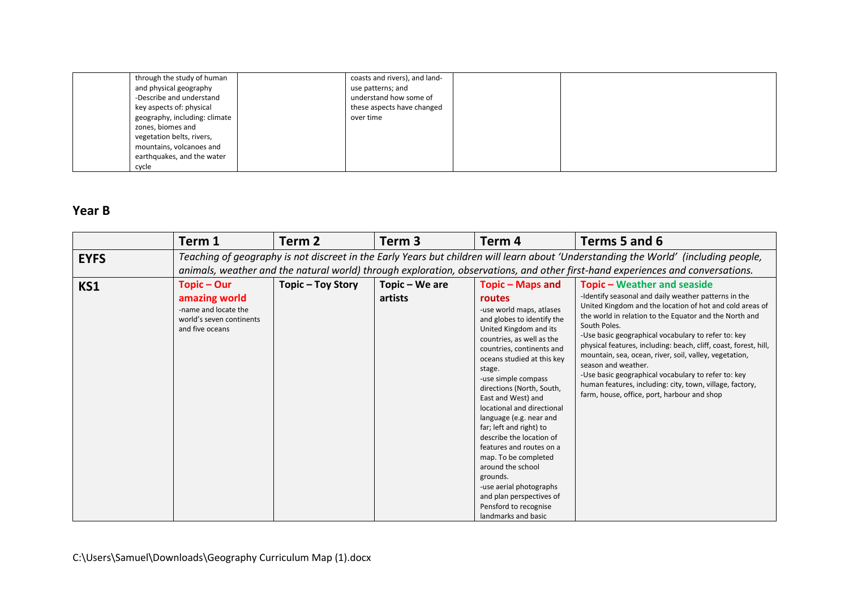| through the study of human    | coasts and rivers), and land- |  |  |
|-------------------------------|-------------------------------|--|--|
| and physical geography        | use patterns; and             |  |  |
| -Describe and understand      | understand how some of        |  |  |
| key aspects of: physical      | these aspects have changed    |  |  |
| geography, including: climate | over time                     |  |  |
| zones, biomes and             |                               |  |  |
| vegetation belts, rivers,     |                               |  |  |
| mountains, volcanoes and      |                               |  |  |
| earthquakes, and the water    |                               |  |  |
| cycle                         |                               |  |  |

# **Year B**

|             | Term 1                                                                                                                                                                                                                                                                | Term 2            | Term <sub>3</sub>         | Term 4                                                                                                                                                                                                                                                                                                                                                                                                                                                                                                                                                                                                 | Terms 5 and 6                                                                                                                                                                                                                                                                                                                                                                                                                                                                                                                                                                                                  |  |  |  |  |
|-------------|-----------------------------------------------------------------------------------------------------------------------------------------------------------------------------------------------------------------------------------------------------------------------|-------------------|---------------------------|--------------------------------------------------------------------------------------------------------------------------------------------------------------------------------------------------------------------------------------------------------------------------------------------------------------------------------------------------------------------------------------------------------------------------------------------------------------------------------------------------------------------------------------------------------------------------------------------------------|----------------------------------------------------------------------------------------------------------------------------------------------------------------------------------------------------------------------------------------------------------------------------------------------------------------------------------------------------------------------------------------------------------------------------------------------------------------------------------------------------------------------------------------------------------------------------------------------------------------|--|--|--|--|
| <b>EYFS</b> | Teaching of geography is not discreet in the Early Years but children will learn about 'Understanding the World' (including people,<br>animals, weather and the natural world) through exploration, observations, and other first-hand experiences and conversations. |                   |                           |                                                                                                                                                                                                                                                                                                                                                                                                                                                                                                                                                                                                        |                                                                                                                                                                                                                                                                                                                                                                                                                                                                                                                                                                                                                |  |  |  |  |
| KS1         | Topic – Our<br>amazing world<br>-name and locate the<br>world's seven continents<br>and five oceans                                                                                                                                                                   | Topic - Toy Story | Topic - We are<br>artists | Topic – Maps and<br>routes<br>-use world maps, atlases<br>and globes to identify the<br>United Kingdom and its<br>countries, as well as the<br>countries, continents and<br>oceans studied at this key<br>stage.<br>-use simple compass<br>directions (North, South,<br>East and West) and<br>locational and directional<br>language (e.g. near and<br>far; left and right) to<br>describe the location of<br>features and routes on a<br>map. To be completed<br>around the school<br>grounds.<br>-use aerial photographs<br>and plan perspectives of<br>Pensford to recognise<br>landmarks and basic | <b>Topic - Weather and seaside</b><br>-Identify seasonal and daily weather patterns in the<br>United Kingdom and the location of hot and cold areas of<br>the world in relation to the Equator and the North and<br>South Poles.<br>-Use basic geographical vocabulary to refer to: key<br>physical features, including: beach, cliff, coast, forest, hill,<br>mountain, sea, ocean, river, soil, valley, vegetation,<br>season and weather.<br>-Use basic geographical vocabulary to refer to: key<br>human features, including: city, town, village, factory,<br>farm, house, office, port, harbour and shop |  |  |  |  |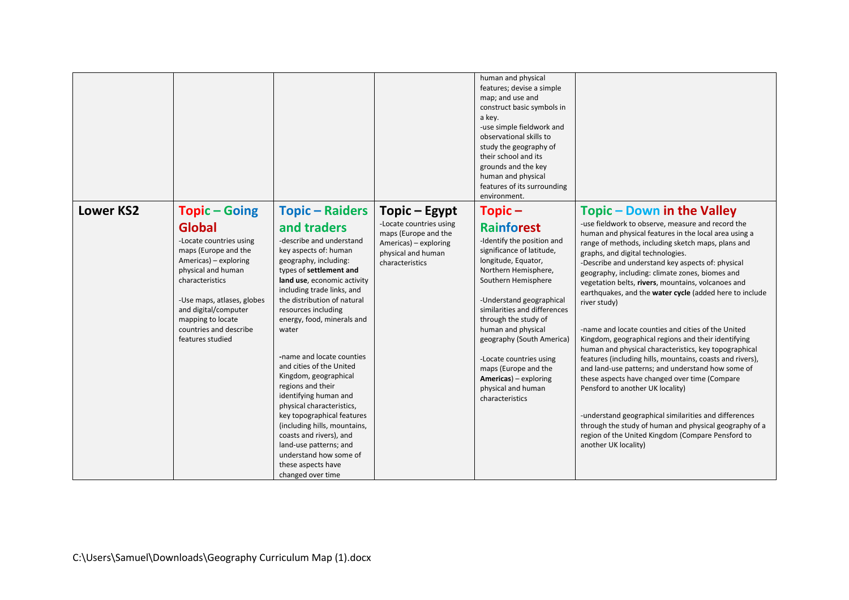|                  |                                                                                                                                                                                                                                                                                   |                                                                                                                                                                                                                                                                                                                                                                                                                                                                                                                                                                                                                                                               |                                                                                                                                    | human and physical<br>features; devise a simple<br>map; and use and<br>construct basic symbols in<br>a key.<br>-use simple fieldwork and<br>observational skills to<br>study the geography of<br>their school and its<br>grounds and the key<br>human and physical<br>features of its surrounding<br>environment.                                                                                                                   |                                                                                                                                                                                                                                                                                                                                                                                                                                                                                                                                                                                                                                                                                                                                                                                                                                                                                                                                                                                                                                                           |
|------------------|-----------------------------------------------------------------------------------------------------------------------------------------------------------------------------------------------------------------------------------------------------------------------------------|---------------------------------------------------------------------------------------------------------------------------------------------------------------------------------------------------------------------------------------------------------------------------------------------------------------------------------------------------------------------------------------------------------------------------------------------------------------------------------------------------------------------------------------------------------------------------------------------------------------------------------------------------------------|------------------------------------------------------------------------------------------------------------------------------------|-------------------------------------------------------------------------------------------------------------------------------------------------------------------------------------------------------------------------------------------------------------------------------------------------------------------------------------------------------------------------------------------------------------------------------------|-----------------------------------------------------------------------------------------------------------------------------------------------------------------------------------------------------------------------------------------------------------------------------------------------------------------------------------------------------------------------------------------------------------------------------------------------------------------------------------------------------------------------------------------------------------------------------------------------------------------------------------------------------------------------------------------------------------------------------------------------------------------------------------------------------------------------------------------------------------------------------------------------------------------------------------------------------------------------------------------------------------------------------------------------------------|
| <b>Lower KS2</b> | <b>Topic-Going</b><br><b>Global</b><br>-Locate countries using<br>maps (Europe and the<br>Americas) - exploring<br>physical and human<br>characteristics<br>-Use maps, atlases, globes<br>and digital/computer<br>mapping to locate<br>countries and describe<br>features studied | <b>Topic - Raiders</b><br>and traders<br>-describe and understand<br>key aspects of: human<br>geography, including:<br>types of settlement and<br>land use, economic activity<br>including trade links, and<br>the distribution of natural<br>resources including<br>energy, food, minerals and<br>water<br>-name and locate counties<br>and cities of the United<br>Kingdom, geographical<br>regions and their<br>identifying human and<br>physical characteristics,<br>key topographical features<br>(including hills, mountains,<br>coasts and rivers), and<br>land-use patterns; and<br>understand how some of<br>these aspects have<br>changed over time | Topic – Egypt<br>-Locate countries using<br>maps (Europe and the<br>Americas) - exploring<br>physical and human<br>characteristics | $Topic -$<br><b>Rainforest</b><br>-Identify the position and<br>significance of latitude,<br>longitude, Equator,<br>Northern Hemisphere,<br>Southern Hemisphere<br>-Understand geographical<br>similarities and differences<br>through the study of<br>human and physical<br>geography (South America)<br>-Locate countries using<br>maps (Europe and the<br><b>Americas</b> ) – exploring<br>physical and human<br>characteristics | Topic – Down in the Valley<br>-use fieldwork to observe, measure and record the<br>human and physical features in the local area using a<br>range of methods, including sketch maps, plans and<br>graphs, and digital technologies.<br>-Describe and understand key aspects of: physical<br>geography, including: climate zones, biomes and<br>vegetation belts, rivers, mountains, volcanoes and<br>earthquakes, and the water cycle (added here to include<br>river study)<br>-name and locate counties and cities of the United<br>Kingdom, geographical regions and their identifying<br>human and physical characteristics, key topographical<br>features (including hills, mountains, coasts and rivers),<br>and land-use patterns; and understand how some of<br>these aspects have changed over time (Compare<br>Pensford to another UK locality)<br>-understand geographical similarities and differences<br>through the study of human and physical geography of a<br>region of the United Kingdom (Compare Pensford to<br>another UK locality) |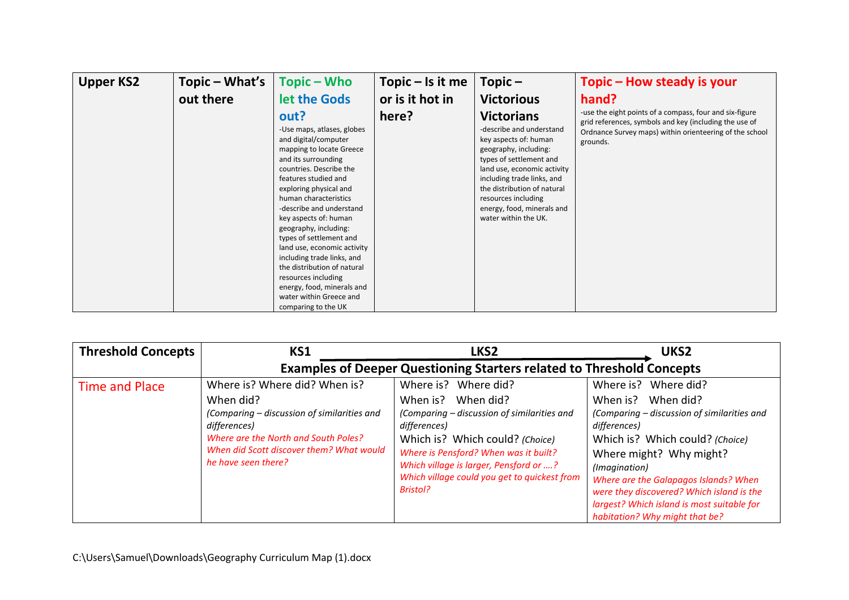| <b>Upper KS2</b> | Topic – What's | Topic – Who                                                                                                                                                                                                                                                                                                                                                                                                                                                                                                                     | Topic $-$ Is it me | Topic $-$                                                                                                                                                                                                                                                                                           | Topic – How steady is your                                                                                                                                                               |
|------------------|----------------|---------------------------------------------------------------------------------------------------------------------------------------------------------------------------------------------------------------------------------------------------------------------------------------------------------------------------------------------------------------------------------------------------------------------------------------------------------------------------------------------------------------------------------|--------------------|-----------------------------------------------------------------------------------------------------------------------------------------------------------------------------------------------------------------------------------------------------------------------------------------------------|------------------------------------------------------------------------------------------------------------------------------------------------------------------------------------------|
|                  | out there      | let the Gods                                                                                                                                                                                                                                                                                                                                                                                                                                                                                                                    | or is it hot in    | <b>Victorious</b>                                                                                                                                                                                                                                                                                   | hand?                                                                                                                                                                                    |
|                  |                | out?<br>-Use maps, atlases, globes<br>and digital/computer<br>mapping to locate Greece<br>and its surrounding<br>countries. Describe the<br>features studied and<br>exploring physical and<br>human characteristics<br>-describe and understand<br>key aspects of: human<br>geography, including:<br>types of settlement and<br>land use, economic activity<br>including trade links, and<br>the distribution of natural<br>resources including<br>energy, food, minerals and<br>water within Greece and<br>comparing to the UK | here?              | <b>Victorians</b><br>-describe and understand<br>key aspects of: human<br>geography, including:<br>types of settlement and<br>land use, economic activity<br>including trade links, and<br>the distribution of natural<br>resources including<br>energy, food, minerals and<br>water within the UK. | -use the eight points of a compass, four and six-figure<br>grid references, symbols and key (including the use of<br>Ordnance Survey maps) within orienteering of the school<br>grounds. |

| <b>Threshold Concepts</b> | KS1                                                                                                                                                                                                                  | LKS <sub>2</sub>                                                                                                                                                                                                                                                                                      | UKS <sub>2</sub>                                                                                                                                                                                                                                                                                                                                                  |
|---------------------------|----------------------------------------------------------------------------------------------------------------------------------------------------------------------------------------------------------------------|-------------------------------------------------------------------------------------------------------------------------------------------------------------------------------------------------------------------------------------------------------------------------------------------------------|-------------------------------------------------------------------------------------------------------------------------------------------------------------------------------------------------------------------------------------------------------------------------------------------------------------------------------------------------------------------|
|                           |                                                                                                                                                                                                                      | <b>Examples of Deeper Questioning Starters related to Threshold Concepts</b>                                                                                                                                                                                                                          |                                                                                                                                                                                                                                                                                                                                                                   |
| <b>Time and Place</b>     | Where is? Where did? When is?<br>When did?<br>(Comparing – discussion of similarities and<br>differences)<br>Where are the North and South Poles?<br>When did Scott discover them? What would<br>he have seen there? | Where is? Where did?<br>When is?<br>When did?<br>(Comparing - discussion of similarities and<br>differences)<br>Which is? Which could? (Choice)<br>Where is Pensford? When was it built?<br>Which village is larger, Pensford or ?<br>Which village could you get to quickest from<br><b>Bristol?</b> | Where is? Where did?<br>When is?<br>When did?<br>(Comparing - discussion of similarities and<br>differences)<br>Which is? Which could? (Choice)<br>Where might? Why might?<br>(Imagination)<br>Where are the Galapagos Islands? When<br>were they discovered? Which island is the<br>largest? Which island is most suitable for<br>habitation? Why might that be? |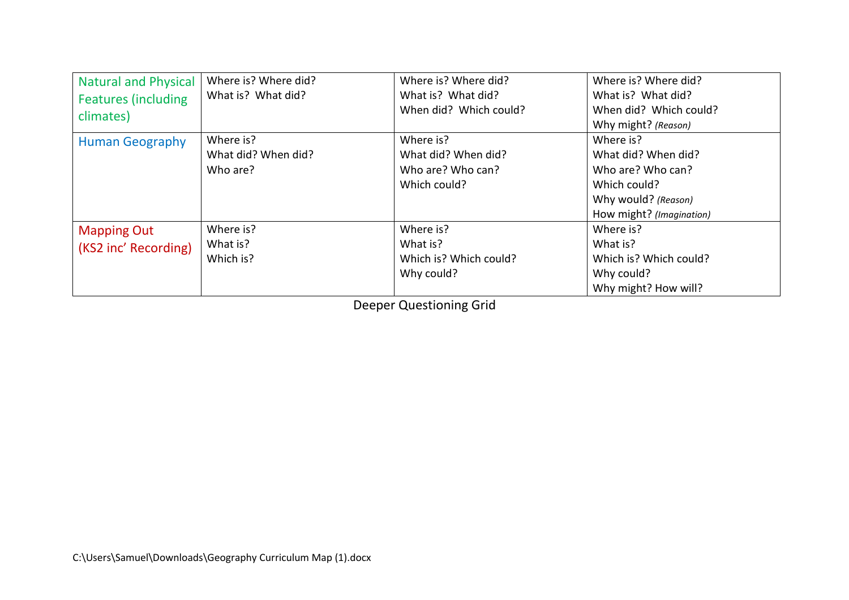| <b>Natural and Physical</b><br><b>Features (including</b><br>climates) | Where is? Where did?<br>What is? What did?   | Where is? Where did?<br>What is? What did?<br>When did? Which could?  | Where is? Where did?<br>What is? What did?<br>When did? Which could?<br>Why might? (Reason)                              |
|------------------------------------------------------------------------|----------------------------------------------|-----------------------------------------------------------------------|--------------------------------------------------------------------------------------------------------------------------|
| <b>Human Geography</b>                                                 | Where is?<br>What did? When did?<br>Who are? | Where is?<br>What did? When did?<br>Who are? Who can?<br>Which could? | Where is?<br>What did? When did?<br>Who are? Who can?<br>Which could?<br>Why would? (Reason)<br>How might? (Imagination) |
| <b>Mapping Out</b><br>(KS2 inc' Recording)                             | Where is?<br>What is?<br>Which is?           | Where is?<br>What is?<br>Which is? Which could?<br>Why could?         | Where is?<br>What is?<br>Which is? Which could?<br>Why could?<br>Why might? How will?                                    |

Deeper Questioning Grid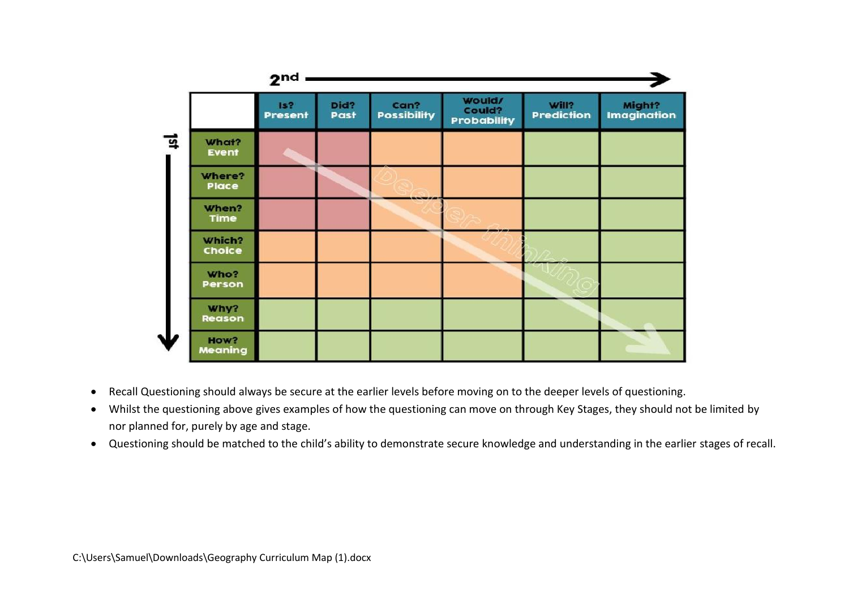|   |                  | $2nd$ $-$      |              |                            |                                 |                            |                       |
|---|------------------|----------------|--------------|----------------------------|---------------------------------|----------------------------|-----------------------|
|   |                  | Is?<br>Present | Did?<br>Past | Can?<br><b>Possibility</b> | Would/<br>Could?<br>Probability | Will?<br><b>Prediction</b> | Might?<br>Imagination |
| ヮ | What?<br>Event   |                |              |                            |                                 |                            |                       |
|   | Where?<br>Place  |                |              |                            |                                 |                            |                       |
|   | When?<br>Time    |                |              |                            |                                 |                            |                       |
|   | Which?<br>Choice |                |              |                            |                                 |                            |                       |
|   | Who?<br>Person   |                |              |                            |                                 |                            |                       |
|   | Why?<br>Reason   |                |              |                            |                                 |                            |                       |
|   | How?<br>Meaning  |                |              |                            |                                 |                            |                       |

- Recall Questioning should always be secure at the earlier levels before moving on to the deeper levels of questioning.
- Whilst the questioning above gives examples of how the questioning can move on through Key Stages, they should not be limited by nor planned for, purely by age and stage.
- Questioning should be matched to the child's ability to demonstrate secure knowledge and understanding in the earlier stages of recall.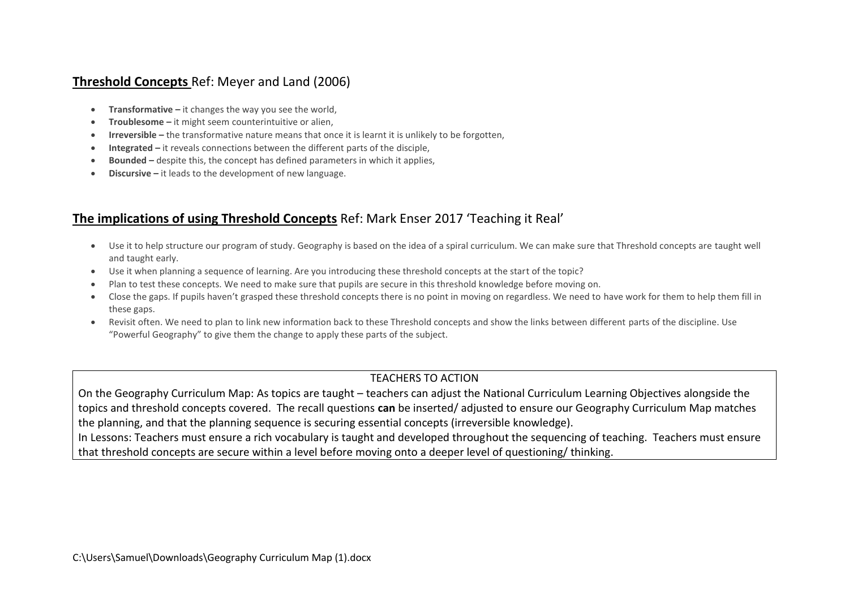## **Threshold Concepts** Ref: Meyer and Land (2006)

- **Transformative –** it changes the way you see the world,
- **Troublesome –** it might seem counterintuitive or alien,
- **Irreversible –** the transformative nature means that once it is learnt it is unlikely to be forgotten,
- **Integrated –** it reveals connections between the different parts of the disciple,
- **Bounded –** despite this, the concept has defined parameters in which it applies,
- **Discursive –** it leads to the development of new language.

# **The implications of using Threshold Concepts** Ref: Mark Enser 2017 'Teaching it Real'

- Use it to help structure our program of study. Geography is based on the idea of a spiral curriculum. We can make sure that Threshold concepts are taught well and taught early.
- Use it when planning a sequence of learning. Are you introducing these threshold concepts at the start of the topic?
- Plan to test these concepts. We need to make sure that pupils are secure in this threshold knowledge before moving on.
- Close the gaps. If pupils haven't grasped these threshold concepts there is no point in moving on regardless. We need to have work for them to help them fill in these gaps.
- Revisit often. We need to plan to link new information back to these Threshold concepts and show the links between different parts of the discipline. Use "Powerful Geography" to give them the change to apply these parts of the subject.

## TEACHERS TO ACTION

On the Geography Curriculum Map: As topics are taught – teachers can adjust the National Curriculum Learning Objectives alongside the topics and threshold concepts covered. The recall questions **can** be inserted/ adjusted to ensure our Geography Curriculum Map matches the planning, and that the planning sequence is securing essential concepts (irreversible knowledge). In Lessons: Teachers must ensure a rich vocabulary is taught and developed throughout the sequencing of teaching. Teachers must ensure

that threshold concepts are secure within a level before moving onto a deeper level of questioning/ thinking.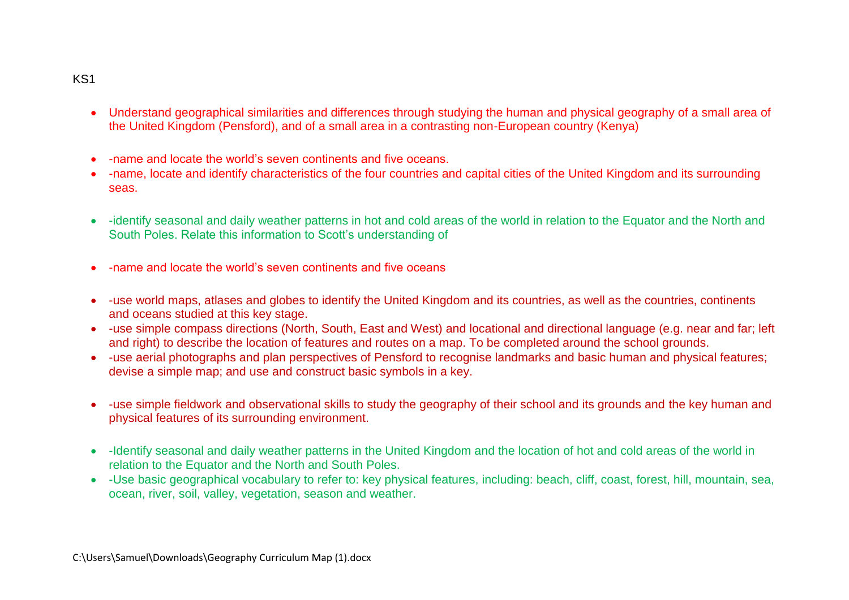#### KS1

- Understand geographical similarities and differences through studying the human and physical geography of a small area of the United Kingdom (Pensford), and of a small area in a contrasting non-European country (Kenya)
- -name and locate the world's seven continents and five oceans.
- -name, locate and identify characteristics of the four countries and capital cities of the United Kingdom and its surrounding seas.
- -identify seasonal and daily weather patterns in hot and cold areas of the world in relation to the Equator and the North and South Poles. Relate this information to Scott's understanding of
- -name and locate the world's seven continents and five oceans
- -use world maps, atlases and globes to identify the United Kingdom and its countries, as well as the countries, continents and oceans studied at this key stage.
- -use simple compass directions (North, South, East and West) and locational and directional language (e.g. near and far; left and right) to describe the location of features and routes on a map. To be completed around the school grounds.
- -use aerial photographs and plan perspectives of Pensford to recognise landmarks and basic human and physical features; devise a simple map; and use and construct basic symbols in a key.
- -use simple fieldwork and observational skills to study the geography of their school and its grounds and the key human and physical features of its surrounding environment.
- -Identify seasonal and daily weather patterns in the United Kingdom and the location of hot and cold areas of the world in relation to the Equator and the North and South Poles.
- -Use basic geographical vocabulary to refer to: key physical features, including: beach, cliff, coast, forest, hill, mountain, sea, ocean, river, soil, valley, vegetation, season and weather.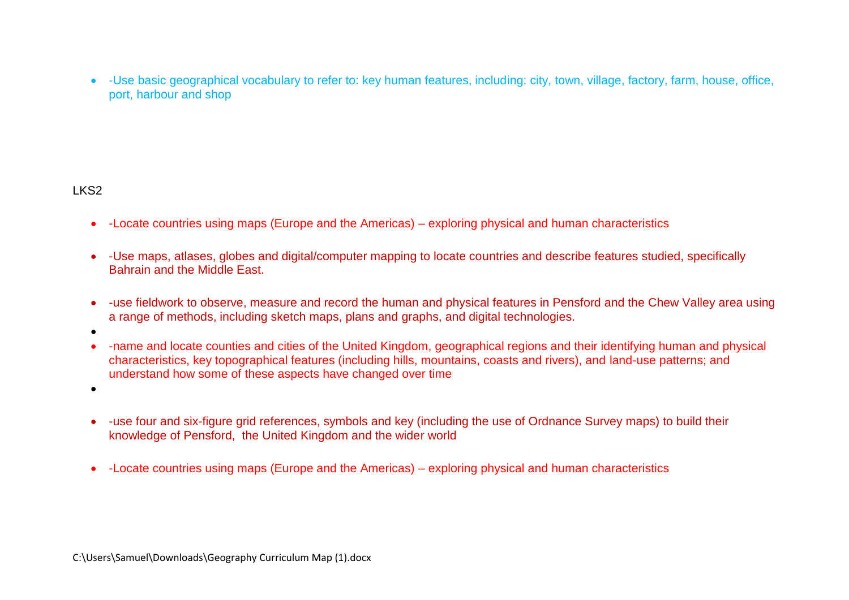-Use basic geographical vocabulary to refer to: key human features, including: city, town, village, factory, farm, house, office, port, harbour and shop

### LKS2

- -Locate countries using maps (Europe and the Americas) exploring physical and human characteristics
- -Use maps, atlases, globes and digital/computer mapping to locate countries and describe features studied, specifically Bahrain and the Middle East.
- -use fieldwork to observe, measure and record the human and physical features in Pensford and the Chew Valley area using a range of methods, including sketch maps, plans and graphs, and digital technologies.
- $\bullet$
- -name and locate counties and cities of the United Kingdom, geographical regions and their identifying human and physical characteristics, key topographical features (including hills, mountains, coasts and rivers), and land-use patterns; and understand how some of these aspects have changed over time

 $\bullet$ 

- -use four and six-figure grid references, symbols and key (including the use of Ordnance Survey maps) to build their knowledge of Pensford, the United Kingdom and the wider world
- -Locate countries using maps (Europe and the Americas) exploring physical and human characteristics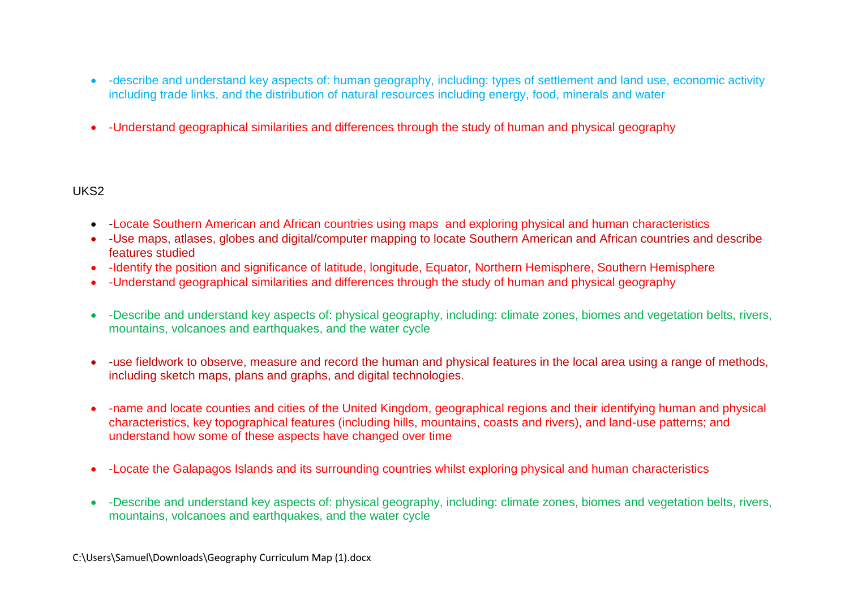- -describe and understand key aspects of: human geography, including: types of settlement and land use, economic activity including trade links, and the distribution of natural resources including energy, food, minerals and water
- -Understand geographical similarities and differences through the study of human and physical geography

### UKS2

- -Locate Southern American and African countries using maps and exploring physical and human characteristics
- -Use maps, atlases, globes and digital/computer mapping to locate Southern American and African countries and describe features studied
- -Identify the position and significance of latitude, longitude, Equator, Northern Hemisphere, Southern Hemisphere
- -Understand geographical similarities and differences through the study of human and physical geography
- -Describe and understand key aspects of: physical geography, including: climate zones, biomes and vegetation belts, rivers, mountains, volcanoes and earthquakes, and the water cycle
- -use fieldwork to observe, measure and record the human and physical features in the local area using a range of methods, including sketch maps, plans and graphs, and digital technologies.
- -name and locate counties and cities of the United Kingdom, geographical regions and their identifying human and physical characteristics, key topographical features (including hills, mountains, coasts and rivers), and land-use patterns; and understand how some of these aspects have changed over time
- -Locate the Galapagos Islands and its surrounding countries whilst exploring physical and human characteristics
- -Describe and understand key aspects of: physical geography, including: climate zones, biomes and vegetation belts, rivers, mountains, volcanoes and earthquakes, and the water cycle

C:\Users\Samuel\Downloads\Geography Curriculum Map (1).docx